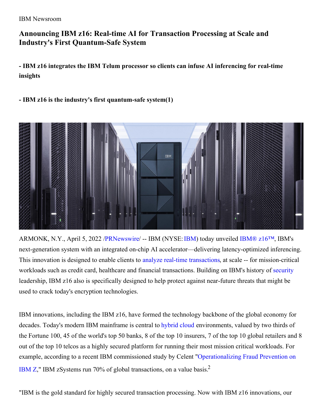IBM Newsroom

## **Announcing IBM z16: Real-time AI for Transaction Processing at Scale and Industry's First Quantum-Safe System**

**- IBM z16 integrates the IBM Telum processor so clients can infuse AI inferencing for real-time insights**

### **- IBM z16 is the industry's first quantum-safe system(1)**



ARMONK, N.Y., April 5, 2022 [/PRNewswire](http://www.prnewswire.com/)/ -- IBM (NYSE:[IBM](https://c212.net/c/link/?t=0&l=en&o=3492407-1&h=2838900833&u=https%3A%2F%2Fc212.net%2Fc%2Flink%2F%3Ft%3D0%26l%3Den%26o%3D3106789-1%26h%3D2439540003%26u%3Dhttp%253A%252F%252Fwww.ibm.com%252Finvestor%26a%3DIBM&a=IBM)) today unveiled [IBM®](https://www.ibm.com/products/z16) z16™, IBM's next-generation system with an integrated on-chip AI accelerator—delivering latency-optimized inferencing. This innovation is designed to enable clients to analyze real-time [transactions](https://c212.net/c/link/?t=0&l=en&o=3492407-1&h=3158392898&u=https%3A%2F%2Fwww.ibm.com%2Fit-infrastructure%2Fz%2Fcapabilities%2Freal-time-analytics&a=analyze+real-time+transactions), at scale -- for mission-critical workloads such as credit card, healthcare and financial transactions. Building on IBM's history of [security](https://c212.net/c/link/?t=0&l=en&o=3492407-1&h=3002892800&u=https%3A%2F%2Fwww.ibm.com%2Fit-infrastructure%2Fz%2Fcapabilities%2Fenterprise-security&a=security) leadership, IBM z16 also is specifically designed to help protect against near-future threats that might be used to crack today's encryption technologies.

IBM innovations, including the IBM z16, have formed the technology backbone of the global economy for decades. Today's modern IBM mainframe is central to [hybrid](https://c212.net/c/link/?t=0&l=en&o=3492407-1&h=40770519&u=http%3A%2F%2Fwww.ibm.com%2Fit-infrastructure%2Fz%2Fcapabilities%2Fhybrid-cloud&a=hybrid+cloud) cloud environments, valued by two thirds of the Fortune 100, 45 of the world's top 50 banks, 8 of the top 10 insurers, 7 of the top 10 global retailers and 8 out of the top 10 telcos as a highly secured platform for running their most mission critical workloads. For example, according to a recent IBM commissioned study by Celent ["Operationalizing](https://c212.net/c/link/?t=0&l=en&o=3492407-1&h=2557295328&u=https%3A%2F%2Fwww.ibm.com%2Fdownloads%2Fcas%2FDOXY3Q94&a=Operationalizing+Fraud+Prevention+on+IBM+Z) Fraud Prevention on IBM Z," IBM zSystems run 70% of global transactions, on a value basis.<sup>2</sup>

"IBM is the gold standard for highly secured transaction processing. Now with IBM z16 innovations, our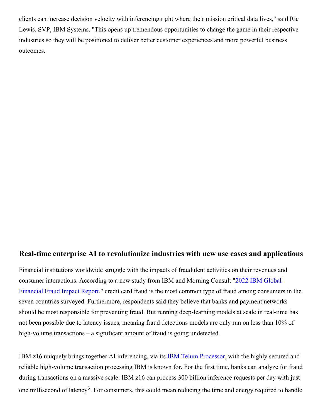clients can increase decision velocity with inferencing right where their mission critical data lives," said Ric Lewis, SVP, IBM Systems. "This opens up tremendous opportunities to change the game in their respective industries so they will be positioned to deliver better customer experiences and more powerful business outcomes.

### **Real-time enterprise AI to revolutionize industries with new use cases and applications**

Financial institutions worldwide struggle with the impacts of fraudulent activities on their revenues and consumer [interactions.](https://c212.net/c/link/?t=0&l=en&o=3492407-1&h=1366477429&u=https%3A%2F%2Ffilecache.mediaroom.com%2Fmr5mr_ibmnewsroom%2F193031%2FMC%2520%252B%2520IBM%2520Financial%2520Fraud%2520Study%2520-%2520Global%2520Report%2520Updated%25203.8.22.pdf&a=2022+IBM+Global+Financial+Fraud+Impact+Report) According to a new study from IBM and Morning Consult "2022 IBM Global Financial Fraud Impact Report," credit card fraud is the most common type of fraud among consumers in the seven countries surveyed. Furthermore, respondents said they believe that banks and payment networks should be most responsible for preventing fraud. But running deep-learning models at scale in real-time has not been possible due to latency issues, meaning fraud detections models are only run on less than 10% of high-volume transactions – a significant amount of fraud is going undetected.

IBM z16 uniquely brings together AI inferencing, via its IBM Telum [Processor](https://c212.net/c/link/?t=0&l=en&o=3492407-1&h=871126242&u=https%3A%2F%2Fnewsroom.ibm.com%2F2021-08-23-IBM-Unveils-On-Chip-Accelerated-Artificial-Intelligence-Processor&a=IBM+Telum+Processor), with the highly secured and reliable high-volume transaction processing IBM is known for. For the first time, banks can analyze for fraud during transactions on a massive scale: IBM z16 can process 300 billion inference requests per day with just one millisecond of latency<sup>3</sup>. For consumers, this could mean reducing the time and energy required to handle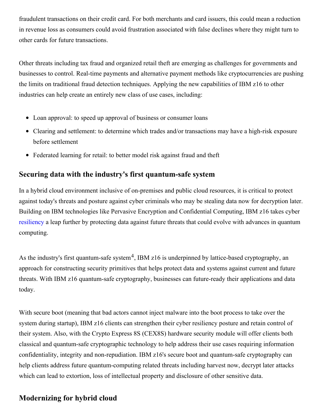fraudulent transactions on their credit card. For both merchants and card issuers, this could mean a reduction in revenue loss as consumers could avoid frustration associated with false declines where they might turn to other cards for future transactions.

Other threats including tax fraud and organized retail theft are emerging as challenges for governments and businesses to control. Real-time payments and alternative payment methods like cryptocurrencies are pushing the limits on traditional fraud detection techniques. Applying the new capabilities of IBM z16 to other industries can help create an entirely new class of use cases, including:

- Loan approval: to speed up approval of business or consumer loans
- Clearing and settlement: to determine which trades and/or transactions may have a high-risk exposure before settlement
- Federated learning for retail: to better model risk against fraud and theft

## **Securing data with the industry's first quantum-safe system**

In a hybrid cloud environment inclusive of on-premises and public cloud resources, it is critical to protect against today's threats and posture against cyber criminals who may be stealing data now for decryption later. Building on IBM technologies like Pervasive Encryption and Confidential Computing, IBM z16 takes cyber [resiliency](https://c212.net/c/link/?t=0&l=en&o=3492407-1&h=3322508678&u=http%3A%2F%2Fwww.ibm.com%2Fit-infrastructure%2Fz%2Fcapabilities%2Fresiliency&a=resiliency) a leap further by protecting data against future threats that could evolve with advances in quantum computing.

As the industry's first quantum-safe system<sup>4</sup>, IBM z16 is underpinned by lattice-based cryptography, an approach for constructing security primitives that helps protect data and systems against current and future threats. With IBM z16 quantum-safe cryptography, businesses can future-ready their applications and data today.

With secure boot (meaning that bad actors cannot inject malware into the boot process to take over the system during startup), IBM z16 clients can strengthen their cyber resiliency posture and retain control of their system. Also, with the Crypto Express 8S (CEX8S) hardware security module will offer clients both classical and quantum-safe cryptographic technology to help address their use cases requiring information confidentiality, integrity and non-repudiation. IBM z16's secure boot and quantum-safe cryptography can help clients address future quantum-computing related threats including harvest now, decrypt later attacks which can lead to extortion, loss of intellectual property and disclosure of other sensitive data.

# **Modernizing for hybrid cloud**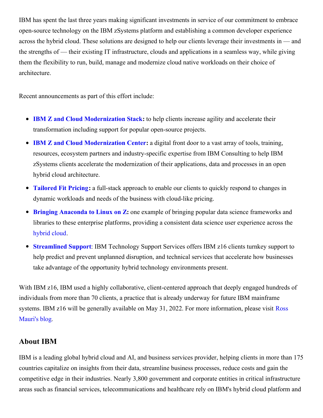IBM has spent the last three years making significant investments in service of our commitment to embrace open-source technology on the IBM zSystems platform and establishing a common developer experience across the hybrid cloud. These solutions are designed to help our clients leverage their investments in — and the strengths of — their existing IT infrastructure, clouds and applications in a seamless way, while giving them the flexibility to run, build, manage and modernize cloud native workloads on their choice of architecture.

Recent announcements as part of this effort include:

- **IBM Z and Cloud [Modernization](https://www.ibm.com/products/z-and-cloud-modernization-stack) Stack:** to help clients increase agility and accelerate their transformation including support for popular open-source projects.
- **IBM Z and Cloud [Modernization](https://c212.net/c/link/?t=0&l=en&o=3492407-1&h=2394794241&u=https%3A%2F%2Fwww.ibm.com%2Fcommunity%2Fz-and-cloud%2F&a=IBM+Z+and+Cloud+Modernization+Center) Center:** a digital front door to a vast array of tools, training, resources, ecosystem partners and industry-specific expertise from IBM Consulting to help IBM zSystems clients accelerate the modernization of their applications, data and processes in an open hybrid cloud architecture.
- **[Tailored](https://c212.net/c/link/?t=0&l=en&o=3492407-1&h=845211896&u=https%3A%2F%2Fwww.ibm.com%2Fit-infrastructure%2Fz%2Fpricing-tailored-fit&a=Tailored+Fit+Pricing) Fit Pricing:** a full-stack approach to enable our clients to quickly respond to changes in dynamic workloads and needs of the business with cloud-like pricing.
- **Bringing [Anaconda](https://c212.net/c/link/?t=0&l=en&o=3492407-1&h=4115589312&u=https%3A%2F%2Fwww.ibm.com%2Fblogs%2Fsystems%2Fannouncing-anaconda-for-linux-on-ibm-z-linuxone%2F&a=Bringing+Anaconda+to+Linux+on+Z) to Linux on Z:** one example of bringing popular data science frameworks and libraries to these enterprise platforms, providing a consistent data science user experience across the [hybrid](https://c212.net/c/link/?t=0&l=en&o=3492407-1&h=2243683466&u=https%3A%2F%2Fwww.ibm.com%2Fit-infrastructure%2Fz%2Fcapabilities%2Fhybrid-cloud&a=hybrid+cloud) cloud.
- **[Streamlined](https://c212.net/c/link/?t=0&l=en&o=3492407-1&h=2325350869&u=https%3A%2F%2Fwww.ibm.com%2Fservices%2Ftechnology-support%2Fhardware-software&a=Streamlined+Support) Support**: IBM Technology Support Services offers IBM z16 clients turnkey support to help predict and prevent unplanned disruption, and technical services that accelerate how businesses take advantage of the opportunity hybrid technology environments present.

With IBM z16, IBM used a highly collaborative, client-centered approach that deeply engaged hundreds of individuals from more than 70 clients, a practice that is already underway for future IBM mainframe systems. IBM z16 will be generally available on May 31, 2022. For more [information,](https://c212.net/c/link/?t=0&l=en&o=3492407-1&h=1531666306&u=https%3A%2F%2Fwww.ibm.com%2Fcloud%2Fblog%2Fibm-z16&a=Ross+Mauri%27s+blog) please visit Ross Mauri's blog.

## **About IBM**

IBM is a leading global hybrid cloud and AI, and business services provider, helping clients in more than 175 countries capitalize on insights from their data, streamline business processes, reduce costs and gain the competitive edge in their industries. Nearly 3,800 government and corporate entities in critical infrastructure areas such as financial services, telecommunications and healthcare rely on IBM's hybrid cloud platform and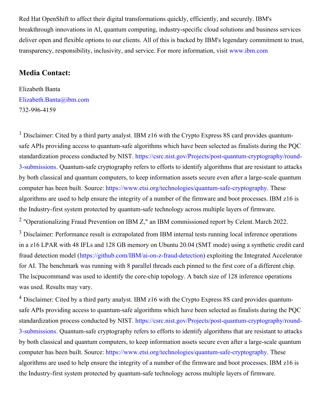Red Hat OpenShift to affect their digital transformations quickly, efficiently, and securely. IBM's breakthrough innovations in AI, quantum computing, industry-specific cloud solutions and business services deliver open and flexible options to our clients. All of this is backed by IBM's legendary commitment to trust, transparency, responsibility, inclusivity, and service. For more information, visit [www.ibm.com](https://c212.net/c/link/?t=0&l=en&o=3492407-1&h=881995832&u=https%3A%2F%2Fc212.net%2Fc%2Flink%2F%3Ft%3D0%26l%3Den%26o%3D3382707-1%26h%3D188029054%26u%3Dhttps%253A%252F%252Fc212.net%252Fc%252Flink%252F%253Ft%253D0%2526l%253Den%2526o%253D3154235-1%2526h%253D3195901305%2526u%253Dhttp%25253A%25252F%25252Fwww.ibm.com%25252F%2526a%253Dwww.ibm.com%26a%3Dwww.ibm.com&a=www.ibm.com)

#### **Media Contact:**

Elizabeth Banta [Elizabeth.Banta@ibm.com](mailto:Elizabeth.Banta@ibm.com) 732-996-4159

<sup>1</sup> Disclaimer: Cited by a third party analyst. IBM z16 with the Crypto Express 8S card provides quantumsafe APIs providing access to quantum-safe algorithms which have been selected as finalists during the PQC standardization process conducted by NIST. [https://csrc.nist.gov/Projects/post-quantum-cryptography/round-](https://c212.net/c/link/?t=0&l=en&o=3492407-1&h=1750761782&u=https%3A%2F%2Fcsrc.nist.gov%2FProjects%2Fpost-quantum-cryptography%2Fround-3-submissions&a=https%3A%2F%2Fcsrc.nist.gov%2FProjects%2Fpost-quantum-cryptography%2Fround-3-submissions)3-submissions. Quantum-safe cryptography refers to efforts to identify algorithms that are resistant to attacks by both classical and quantum computers, to keep information assets secure even after a large-scale quantum computer has been built. Source: [https://www.etsi.org/technologies/quantum-safe-cryptography](https://c212.net/c/link/?t=0&l=en&o=3492407-1&h=1446280433&u=https%3A%2F%2Fwww.etsi.org%2Ftechnologies%2Fquantum-safe-cryptography&a=https%3A%2F%2Fwww.etsi.org%2Ftechnologies%2Fquantum-safe-cryptography). These algorithms are used to help ensure the integrity of a number of the firmware and boot processes. IBM z16 is the Industry-first system protected by quantum-safe technology across multiple layers of firmware. <sup>2</sup> "Operationalizing Fraud Prevention on IBM Z," an IBM commissioned report by Celent. March 2022. <sup>3</sup> Disclaimer: Performance result is extrapolated from IBM internal tests running local inference operations in a z16 LPAR with 48 IFLs and 128 GB memory on Ubuntu 20.04 (SMT mode) using a synthetic credit card fraud detection model ([https://github.com/IBM/ai-on-z-fraud-detection](https://c212.net/c/link/?t=0&l=en&o=3492407-1&h=1282586206&u=https%3A%2F%2Fgithub.com%2FIBM%2Fai-on-z-fraud-detection&a=https%3A%2F%2Fgithub.com%2FIBM%2Fai-on-z-fraud-detection)) exploiting the Integrated Accelerator for AI. The benchmark was running with 8 parallel threads each pinned to the first core of a different chip.

The lscpucommand was used to identify the core-chip topology. A batch size of 128 inference operations was used. Results may vary.

<sup>4</sup> Disclaimer: Cited by a third party analyst. IBM z16 with the Crypto Express 8S card provides quantumsafe APIs providing access to quantum-safe algorithms which have been selected as finalists during the PQC standardization process conducted by NIST. [https://csrc.nist.gov/Projects/post-quantum-cryptography/round-](https://c212.net/c/link/?t=0&l=en&o=3492407-1&h=1750761782&u=https%3A%2F%2Fcsrc.nist.gov%2FProjects%2Fpost-quantum-cryptography%2Fround-3-submissions&a=https%3A%2F%2Fcsrc.nist.gov%2FProjects%2Fpost-quantum-cryptography%2Fround-3-submissions)3-submissions. Quantum-safe cryptography refers to efforts to identify algorithms that are resistant to attacks by both classical and quantum computers, to keep information assets secure even after a large-scale quantum computer has been built. Source: [https://www.etsi.org/technologies/quantum-safe-cryptography](https://c212.net/c/link/?t=0&l=en&o=3492407-1&h=1446280433&u=https%3A%2F%2Fwww.etsi.org%2Ftechnologies%2Fquantum-safe-cryptography&a=https%3A%2F%2Fwww.etsi.org%2Ftechnologies%2Fquantum-safe-cryptography). These algorithms are used to help ensure the integrity of a number of the firmware and boot processes. IBM z16 is the Industry-first system protected by quantum-safe technology across multiple layers of firmware.